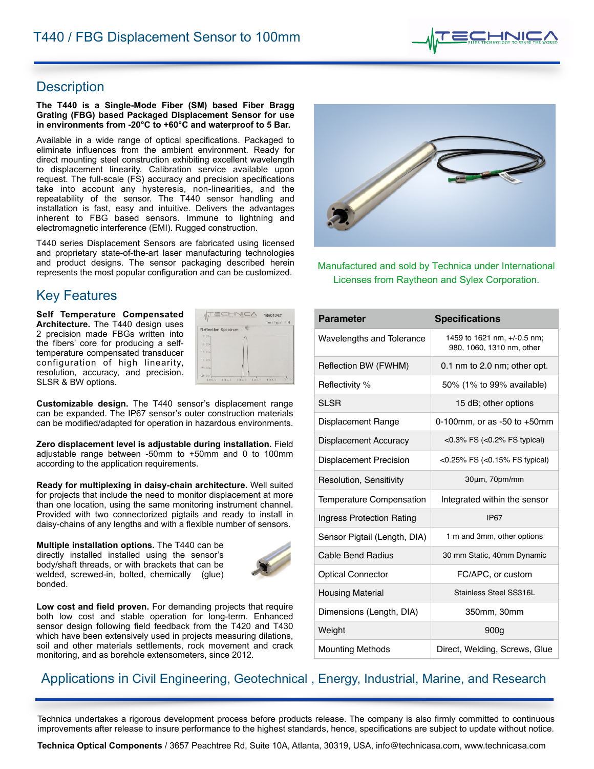

## Description

#### **The T440 is a Single-Mode Fiber (SM) based Fiber Bragg Grating (FBG) based Packaged Displacement Sensor for use in environments from -20°C to +60°C and waterproof to 5 Bar.**

Available in a wide range of optical specifications. Packaged to eliminate influences from the ambient environment. Ready for direct mounting steel construction exhibiting excellent wavelength to displacement linearity. Calibration service available upon request. The full-scale (FS) accuracy and precision specifications take into account any hysteresis, non-linearities, and the repeatability of the sensor. The T440 sensor handling and installation is fast, easy and intuitive. Delivers the advantages inherent to FBG based sensors. Immune to lightning and electromagnetic interference (EMI). Rugged construction.

T440 series Displacement Sensors are fabricated using licensed and proprietary state-of-the-art laser manufacturing technologies and product designs. The sensor packaging described herein represents the most popular configuration and can be customized.

# **Key Features**

**Self Temperature Compensated Architecture.** The T440 design uses 2 precision made FBGs written into the fibers' core for producing a selftemperature compensated transducer configuration of high linearity, resolution, accuracy, and precision. SLSR & BW options.

| 4                                                 | *B601042*<br>Test Type:<br>FIN |
|---------------------------------------------------|--------------------------------|
| e<br><b>Reflection Spectrum</b>                   |                                |
| $0.01 -$                                          |                                |
| $-5.00-$                                          |                                |
| $-10,010$                                         |                                |
| $13.04-$                                          |                                |
| $-20.00-$                                         |                                |
| $-25.00-$<br>1313.0<br>1511.0<br>1510.0<br>1512.0 | 1515.0<br>1514.0               |

**Customizable design.** The T440 sensor's displacement range can be expanded. The IP67 sensor's outer construction materials can be modified/adapted for operation in hazardous environments.

**Zero displacement level is adjustable during installation.** Field adjustable range between -50mm to +50mm and 0 to 100mm according to the application requirements.

**Ready for multiplexing in daisy-chain architecture.** Well suited for projects that include the need to monitor displacement at more than one location, using the same monitoring instrument channel. Provided with two connectorized pigtails and ready to install in daisy-chains of any lengths and with a flexible number of sensors.

**Multiple installation options.** The T440 can be directly installed installed using the sensor's body/shaft threads, or with brackets that can be welded, screwed-in, bolted, chemically (glue) bonded.



**Low cost and field proven.** For demanding projects that require both low cost and stable operation for long-term. Enhanced sensor design following field feedback from the T420 and T430 which have been extensively used in projects measuring dilations, soil and other materials settlements, rock movement and crack monitoring, and as borehole extensometers, since 2012.



Manufactured and sold by Technica under International Licenses from Raytheon and Sylex Corporation.

| <b>Parameter</b>              | <b>Specifications</b>                                    |
|-------------------------------|----------------------------------------------------------|
| Wavelengths and Tolerance     | 1459 to 1621 nm, +/-0.5 nm;<br>980, 1060, 1310 nm, other |
| Reflection BW (FWHM)          | $0.1$ nm to $2.0$ nm; other opt.                         |
| Reflectivity %                | 50% (1% to 99% available)                                |
| <b>SLSR</b>                   | 15 dB; other options                                     |
| Displacement Range            | 0-100mm, or as -50 to $+50$ mm                           |
| Displacement Accuracy         | $<$ 0.3% FS ( $<$ 0.2% FS typical)                       |
| <b>Displacement Precision</b> | <0.25% FS (<0.15% FS typical)                            |
| Resolution, Sensitivity       | 30um, 70pm/mm                                            |
| Temperature Compensation      | Integrated within the sensor                             |
| Ingress Protection Rating     | <b>IP67</b>                                              |
| Sensor Pigtail (Length, DIA)  | 1 m and 3mm, other options                               |
| <b>Cable Bend Radius</b>      | 30 mm Static, 40mm Dynamic                               |
| <b>Optical Connector</b>      | FC/APC, or custom                                        |
| <b>Housing Material</b>       | Stainless Steel SS316L                                   |
| Dimensions (Length, DIA)      | 350mm, 30mm                                              |
| Weight                        | 900 <sub>g</sub>                                         |
| <b>Mounting Methods</b>       | Direct, Welding, Screws, Glue                            |

# Applications in Civil Engineering, Geotechnical, Energy, Industrial, Marine, and Research

Technica undertakes a rigorous development process before products release. The company is also firmly committed to continuous improvements after release to insure performance to the highest standards, hence, specifications are subject to update without notice.

**Technica Optical Components** / 3657 Peachtree Rd, Suite 10A, Atlanta, 30319, USA, [info@technicasa.com](mailto:info@technicasa.com), [www.technicasa.com](http://www.technicasa.com)